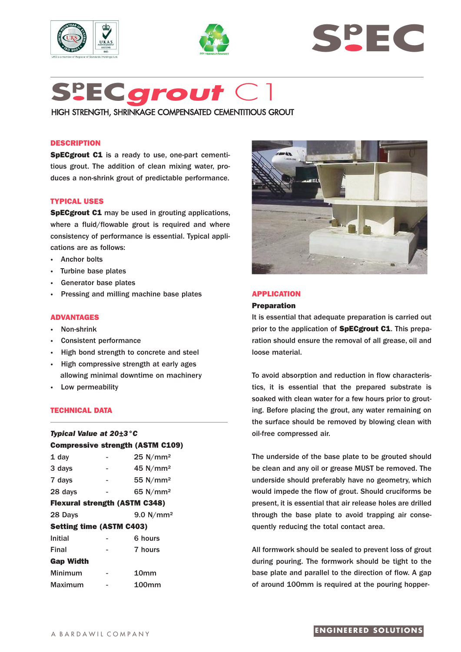





# **Sp EC***grout* C1

HIGH STRENGTH, SHRINKAGE COMPENSATED CEMENTITIOUS GROUT

# **DESCRIPTION**

**SpECgrout C1** is a ready to use, one-part cementitious grout. The addition of clean mixing water, produces a non-shrink grout of predictable performance.

# **TYPICAL USES**

**SpECgrout C1** may be used in grouting applications, where a fluid/flowable grout is required and where consistency of performance is essential. Typical applications are as follows:

- **·** Anchor bolts
- **·** Turbine base plates
- Generator base plates
- **·** Pressing and milling machine base plates

# **ADVANTAGES**

- **·** Non-shrink
- **·** Consistent performance
- **·** High bond strength to concrete and steel
- **·** High compressive strength at early ages allowing minimal downtime on machinery
- **·** Low permeability

## **TECHNICAL DATA**

| Typical Value at 20±3 °C        |   |                                         |  |
|---------------------------------|---|-----------------------------------------|--|
|                                 |   | <b>Compressive strength (ASTM C109)</b> |  |
| 1 day                           |   | 25 N/mm <sup>2</sup>                    |  |
| 3 days                          |   | 45 N/mm <sup>2</sup>                    |  |
| 7 days                          | ۰ | 55 N/mm <sup>2</sup>                    |  |
| 28 days                         |   | 65 N/mm <sup>2</sup>                    |  |
|                                 |   | <b>Flexural strength (ASTM C348)</b>    |  |
| 28 Days                         |   | 9.0 N/mm <sup>2</sup>                   |  |
| <b>Setting time (ASTM C403)</b> |   |                                         |  |
| Initial                         |   | 6 hours                                 |  |
| Final                           |   | 7 hours                                 |  |
| <b>Gap Width</b>                |   |                                         |  |
| <b>Minimum</b>                  |   | 10 <sub>mm</sub>                        |  |
| Maximum                         |   | 100mm                                   |  |



# **APPLICATION**

### **Preparation**

It is essential that adequate preparation is carried out prior to the application of **SpECgrout C1**. This preparation should ensure the removal of all grease, oil and loose material.

To avoid absorption and reduction in flow characteristics, it is essential that the prepared substrate is soaked with clean water for a few hours prior to grouting. Before placing the grout, any water remaining on the surface should be removed by blowing clean with oil-free compressed air.

The underside of the base plate to be grouted should be clean and any oil or grease MUST be removed. The underside should preferably have no geometry, which would impede the flow of grout. Should cruciforms be present, it is essential that air release holes are drilled through the base plate to avoid trapping air consequently reducing the total contact area.

All formwork should be sealed to prevent loss of grout during pouring. The formwork should be tight to the base plate and parallel to the direction of flow. A gap of around 100mm is required at the pouring hopper-

# **ENGINEERED SOLUTIONS**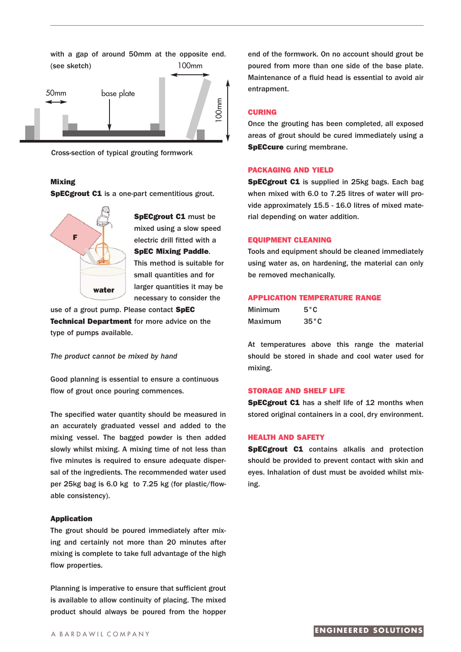

Cross-section of typical grouting formwork

## **Mixing**

**SpECgrout C1** is a one-part cementitious grout.



**SpECgrout C1** must be mixed using a slow speed electric drill fitted with a **SpEC Mixing Paddle**. This method is suitable for small quantities and for larger quantities it may be necessary to consider the

use of a grout pump. Please contact **SpEC Technical Department** for more advice on the type of pumps available.

*The product cannot be mixed by hand*

Good planning is essential to ensure a continuous flow of grout once pouring commences.

The specified water quantity should be measured in an accurately graduated vessel and added to the mixing vessel. The bagged powder is then added slowly whilst mixing. A mixing time of not less than five minutes is required to ensure adequate dispersal of the ingredients. The recommended water used per 25kg bag is 6.0 kg to 7.25 kg (for plastic/flowable consistency).

#### **Application**

The grout should be poured immediately after mixing and certainly not more than 20 minutes after mixing is complete to take full advantage of the high flow properties.

Planning is imperative to ensure that sufficient grout is available to allow continuity of placing. The mixed product should always be poured from the hopper

end of the formwork. On no account should grout be poured from more than one side of the base plate. Maintenance of a fluid head is essential to avoid air entrapment.

## **CURING**

Once the grouting has been completed, all exposed areas of grout should be cured immediately using a **SpECcure** curing membrane.

## **PACKAGING AND YIELD**

**SpECgrout C1** is supplied in 25kg bags. Each bag when mixed with 6.0 to 7.25 litres of water will provide approximately 15.5 - 16.0 litres of mixed material depending on water addition.

# **EQUIPMENT CLEANING**

Tools and equipment should be cleaned immediately using water as, on hardening, the material can only be removed mechanically.

#### **APPLICATION TEMPERATURE RANGE**

| <b>Minimum</b> | $5^{\circ}$ C  |
|----------------|----------------|
| Maximum        | $35^{\circ}$ C |

At temperatures above this range the material should be stored in shade and cool water used for mixing.

#### **STORAGE AND SHELF LIFE**

**SpECgrout C1** has a shelf life of 12 months when stored original containers in a cool, dry environment.

## **HEALTH AND SAFETY**

**SpECgrout C1** contains alkalis and protection should be provided to prevent contact with skin and eyes. Inhalation of dust must be avoided whilst mixing.